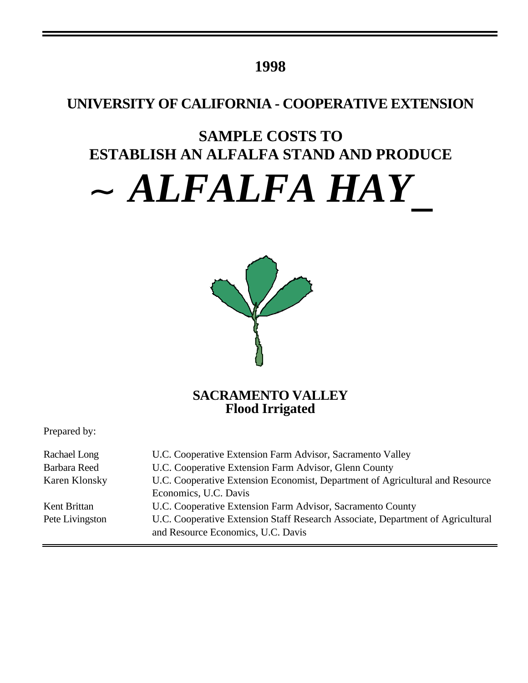# **1998**

# **UNIVERSITY OF CALIFORNIA - COOPERATIVE EXTENSION**

# **SAMPLE COSTS TO ESTABLISH AN ALFALFA STAND AND PRODUCE**

# *ALFALFA HAY*



## **SACRAMENTO VALLEY Flood Irrigated**

Prepared by:

| Rachael Long    | U.C. Cooperative Extension Farm Advisor, Sacramento Valley                      |
|-----------------|---------------------------------------------------------------------------------|
| Barbara Reed    | U.C. Cooperative Extension Farm Advisor, Glenn County                           |
| Karen Klonsky   | U.C. Cooperative Extension Economist, Department of Agricultural and Resource   |
|                 | Economics, U.C. Davis                                                           |
| Kent Brittan    | U.C. Cooperative Extension Farm Advisor, Sacramento County                      |
| Pete Livingston | U.C. Cooperative Extension Staff Research Associate, Department of Agricultural |
|                 | and Resource Economics, U.C. Davis                                              |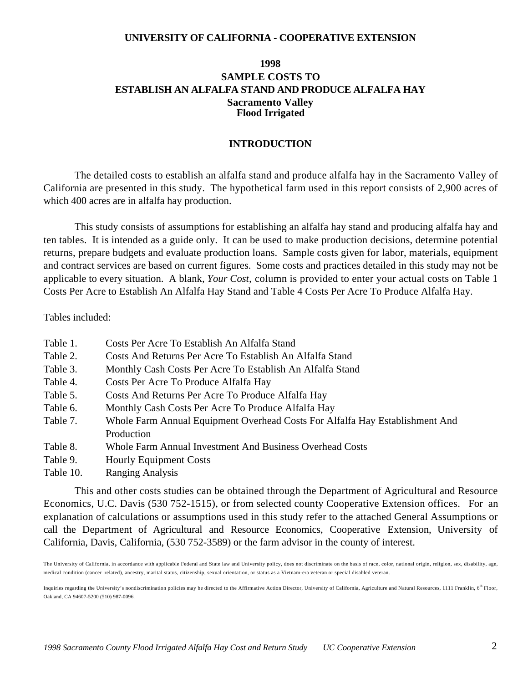#### **UNIVERSITY OF CALIFORNIA - COOPERATIVE EXTENSION**

## **1998 SAMPLE COSTS TO ESTABLISH AN ALFALFA STAND AND PRODUCE ALFALFA HAY Sacramento Valley Flood Irrigated**

#### **INTRODUCTION**

The detailed costs to establish an alfalfa stand and produce alfalfa hay in the Sacramento Valley of California are presented in this study. The hypothetical farm used in this report consists of 2,900 acres of which 400 acres are in alfalfa hay production.

This study consists of assumptions for establishing an alfalfa hay stand and producing alfalfa hay and ten tables. It is intended as a guide only. It can be used to make production decisions, determine potential returns, prepare budgets and evaluate production loans. Sample costs given for labor, materials, equipment and contract services are based on current figures. Some costs and practices detailed in this study may not be applicable to every situation. A blank, *Your Cost,* column is provided to enter your actual costs on Table 1 Costs Per Acre to Establish An Alfalfa Hay Stand and Table 4 Costs Per Acre To Produce Alfalfa Hay.

Tables included:

| Table 1.  | Costs Per Acre To Establish An Alfalfa Stand                                 |
|-----------|------------------------------------------------------------------------------|
| Table 2.  | Costs And Returns Per Acre To Establish An Alfalfa Stand                     |
| Table 3.  | Monthly Cash Costs Per Acre To Establish An Alfalfa Stand                    |
| Table 4.  | Costs Per Acre To Produce Alfalfa Hay                                        |
| Table 5.  | Costs And Returns Per Acre To Produce Alfalfa Hay                            |
| Table 6.  | Monthly Cash Costs Per Acre To Produce Alfalfa Hay                           |
| Table 7.  | Whole Farm Annual Equipment Overhead Costs For Alfalfa Hay Establishment And |
|           | Production                                                                   |
| Table 8.  | <b>Whole Farm Annual Investment And Business Overhead Costs</b>              |
| Table 9.  | <b>Hourly Equipment Costs</b>                                                |
| Table 10. | <b>Ranging Analysis</b>                                                      |

This and other costs studies can be obtained through the Department of Agricultural and Resource Economics, U.C. Davis (530 752-1515), or from selected county Cooperative Extension offices. For an explanation of calculations or assumptions used in this study refer to the attached General Assumptions or call the Department of Agricultural and Resource Economics, Cooperative Extension, University of California, Davis, California, (530 752-3589) or the farm advisor in the county of interest.

The University of California, in accordance with applicable Federal and State law and University policy, does not discriminate on the basis of race, color, national origin, religion, sex, disability, age, medical condition (cancer–related), ancestry, marital status, citizenship, sexual orientation, or status as a Vietnam-era veteran or special disabled veteran.

Inquiries regarding the University's nondiscrimination policies may be directed to the Affirmative Action Director, University of California, Agriculture and Natural Resources, 1111 Franklin, 6<sup>th</sup> Floor, Oakland, CA 94607-5200 (510) 987-0096.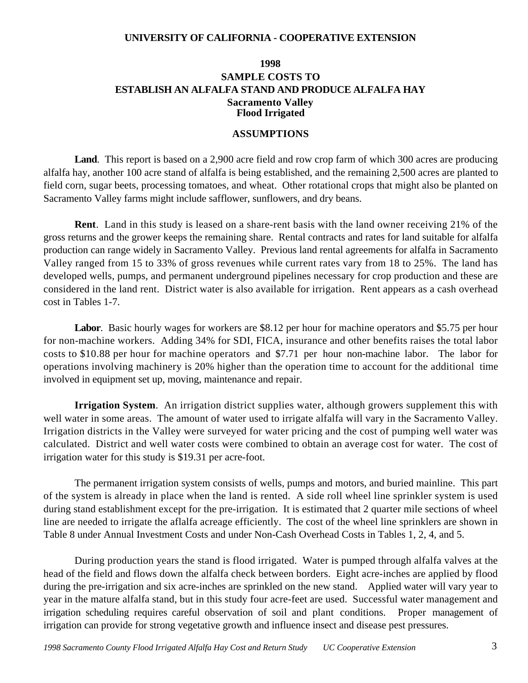#### **UNIVERSITY OF CALIFORNIA - COOPERATIVE EXTENSION**

## **1998 SAMPLE COSTS TO ESTABLISH AN ALFALFA STAND AND PRODUCE ALFALFA HAY Sacramento Valley Flood Irrigated**

#### **ASSUMPTIONS**

**Land**. This report is based on a 2,900 acre field and row crop farm of which 300 acres are producing alfalfa hay, another 100 acre stand of alfalfa is being established, and the remaining 2,500 acres are planted to field corn, sugar beets, processing tomatoes, and wheat. Other rotational crops that might also be planted on Sacramento Valley farms might include safflower, sunflowers, and dry beans.

**Rent**. Land in this study is leased on a share-rent basis with the land owner receiving 21% of the gross returns and the grower keeps the remaining share. Rental contracts and rates for land suitable for alfalfa production can range widely in Sacramento Valley. Previous land rental agreements for alfalfa in Sacramento Valley ranged from 15 to 33% of gross revenues while current rates vary from 18 to 25%. The land has developed wells, pumps, and permanent underground pipelines necessary for crop production and these are considered in the land rent. District water is also available for irrigation. Rent appears as a cash overhead cost in Tables 1-7.

**Labor**. Basic hourly wages for workers are \$8.12 per hour for machine operators and \$5.75 per hour for non-machine workers. Adding 34% for SDI, FICA, insurance and other benefits raises the total labor costs to \$10.88 per hour for machine operators and \$7.71 per hour non-machine labor. The labor for operations involving machinery is 20% higher than the operation time to account for the additional time involved in equipment set up, moving, maintenance and repair.

**Irrigation System**. An irrigation district supplies water, although growers supplement this with well water in some areas. The amount of water used to irrigate alfalfa will vary in the Sacramento Valley. Irrigation districts in the Valley were surveyed for water pricing and the cost of pumping well water was calculated. District and well water costs were combined to obtain an average cost for water. The cost of irrigation water for this study is \$19.31 per acre-foot.

The permanent irrigation system consists of wells, pumps and motors, and buried mainline. This part of the system is already in place when the land is rented. A side roll wheel line sprinkler system is used during stand establishment except for the pre-irrigation. It is estimated that 2 quarter mile sections of wheel line are needed to irrigate the aflalfa acreage efficiently. The cost of the wheel line sprinklers are shown in Table 8 under Annual Investment Costs and under Non-Cash Overhead Costs in Tables 1, 2, 4, and 5.

During production years the stand is flood irrigated. Water is pumped through alfalfa valves at the head of the field and flows down the alfalfa check between borders. Eight acre-inches are applied by flood during the pre-irrigation and six acre-inches are sprinkled on the new stand. Applied water will vary year to year in the mature alfalfa stand, but in this study four acre-feet are used. Successful water management and irrigation scheduling requires careful observation of soil and plant conditions. Proper management of irrigation can provide for strong vegetative growth and influence insect and disease pest pressures.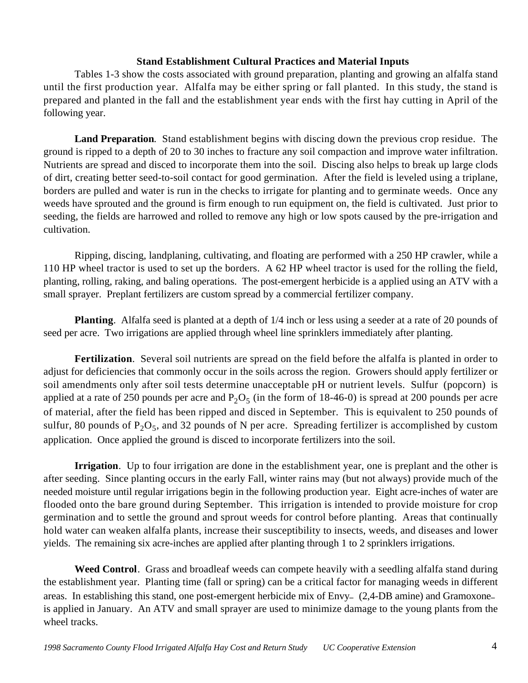#### **Stand Establishment Cultural Practices and Material Inputs**

Tables 1-3 show the costs associated with ground preparation, planting and growing an alfalfa stand until the first production year. Alfalfa may be either spring or fall planted. In this study, the stand is prepared and planted in the fall and the establishment year ends with the first hay cutting in April of the following year.

**Land Preparation**. Stand establishment begins with discing down the previous crop residue. The ground is ripped to a depth of 20 to 30 inches to fracture any soil compaction and improve water infiltration. Nutrients are spread and disced to incorporate them into the soil. Discing also helps to break up large clods of dirt, creating better seed-to-soil contact for good germination. After the field is leveled using a triplane, borders are pulled and water is run in the checks to irrigate for planting and to germinate weeds. Once any weeds have sprouted and the ground is firm enough to run equipment on, the field is cultivated. Just prior to seeding, the fields are harrowed and rolled to remove any high or low spots caused by the pre-irrigation and cultivation.

Ripping, discing, landplaning, cultivating, and floating are performed with a 250 HP crawler, while a 110 HP wheel tractor is used to set up the borders. A 62 HP wheel tractor is used for the rolling the field, planting, rolling, raking, and baling operations. The post-emergent herbicide is a applied using an ATV with a small sprayer. Preplant fertilizers are custom spread by a commercial fertilizer company.

**Planting**. Alfalfa seed is planted at a depth of 1/4 inch or less using a seeder at a rate of 20 pounds of seed per acre. Two irrigations are applied through wheel line sprinklers immediately after planting.

**Fertilization**. Several soil nutrients are spread on the field before the alfalfa is planted in order to adjust for deficiencies that commonly occur in the soils across the region. Growers should apply fertilizer or soil amendments only after soil tests determine unacceptable pH or nutrient levels. Sulfur (popcorn) is applied at a rate of 250 pounds per acre and  $P_2O_5$  (in the form of 18-46-0) is spread at 200 pounds per acre of material, after the field has been ripped and disced in September. This is equivalent to 250 pounds of sulfur, 80 pounds of  $P_2O_5$ , and 32 pounds of N per acre. Spreading fertilizer is accomplished by custom application. Once applied the ground is disced to incorporate fertilizers into the soil.

**Irrigation**. Up to four irrigation are done in the establishment year, one is preplant and the other is after seeding. Since planting occurs in the early Fall, winter rains may (but not always) provide much of the needed moisture until regular irrigations begin in the following production year. Eight acre-inches of water are flooded onto the bare ground during September. This irrigation is intended to provide moisture for crop germination and to settle the ground and sprout weeds for control before planting. Areas that continually hold water can weaken alfalfa plants, increase their susceptibility to insects, weeds, and diseases and lower yields. The remaining six acre-inches are applied after planting through 1 to 2 sprinklers irrigations.

**Weed Control**. Grass and broadleaf weeds can compete heavily with a seedling alfalfa stand during the establishment year. Planting time (fall or spring) can be a critical factor for managing weeds in different areas. In establishing this stand, one post-emergent herbicide mix of Envy-  $(2,4$ -DB amine) and Gramoxoneis applied in January. An ATV and small sprayer are used to minimize damage to the young plants from the wheel tracks.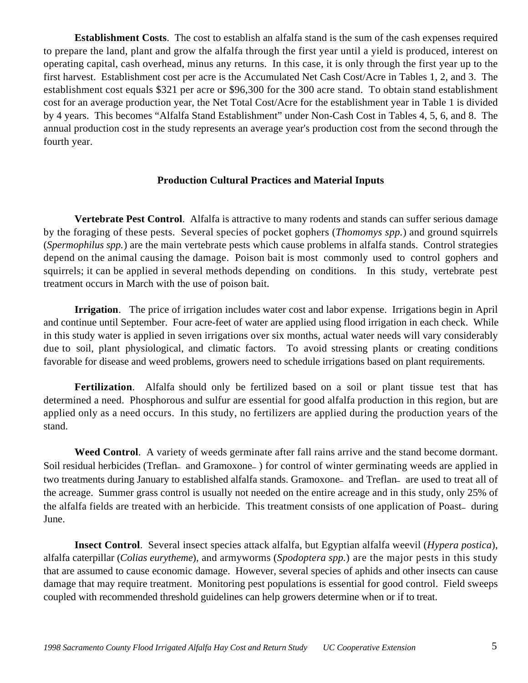**Establishment Costs**.The cost to establish an alfalfa stand is the sum of the cash expenses required to prepare the land, plant and grow the alfalfa through the first year until a yield is produced, interest on operating capital, cash overhead, minus any returns. In this case, it is only through the first year up to the first harvest. Establishment cost per acre is the Accumulated Net Cash Cost/Acre in Tables 1, 2, and 3. The establishment cost equals \$321 per acre or \$96,300 for the 300 acre stand. To obtain stand establishment cost for an average production year, the Net Total Cost/Acre for the establishment year in Table 1 is divided by 4 years. This becomes "Alfalfa Stand Establishment" under Non-Cash Cost in Tables 4, 5, 6, and 8. The annual production cost in the study represents an average year's production cost from the second through the fourth year.

#### **Production Cultural Practices and Material Inputs**

**Vertebrate Pest Control**. Alfalfa is attractive to many rodents and stands can suffer serious damage by the foraging of these pests. Several species of pocket gophers (*Thomomys spp.*) and ground squirrels (*Spermophilus spp.*) are the main vertebrate pests which cause problems in alfalfa stands. Control strategies depend on the animal causing the damage. Poison bait is most commonly used to control gophers and squirrels; it can be applied in several methods depending on conditions. In this study, vertebrate pest treatment occurs in March with the use of poison bait.

**Irrigation**. The price of irrigation includes water cost and labor expense. Irrigations begin in April and continue until September. Four acre-feet of water are applied using flood irrigation in each check. While in this study water is applied in seven irrigations over six months, actual water needs will vary considerably due to soil, plant physiological, and climatic factors. To avoid stressing plants or creating conditions favorable for disease and weed problems, growers need to schedule irrigations based on plant requirements.

**Fertilization**. Alfalfa should only be fertilized based on a soil or plant tissue test that has determined a need. Phosphorous and sulfur are essential for good alfalfa production in this region, but are applied only as a need occurs. In this study, no fertilizers are applied during the production years of the stand.

**Weed Control**. A variety of weeds germinate after fall rains arrive and the stand become dormant. Soil residual herbicides (Treflan— and Gramoxone—) for control of winter germinating weeds are applied in two treatments during January to established alfalfa stands. Gramoxone- and Treflan- are used to treat all of the acreage. Summer grass control is usually not needed on the entire acreage and in this study, only 25% of the alfalfa fields are treated with an herbicide. This treatment consists of one application of Poast\_ during June.

**Insect Control**. Several insect species attack alfalfa, but Egyptian alfalfa weevil (*Hypera postica*), alfalfa caterpillar (*Colias eurytheme*), and armyworms (*Spodoptera spp.*) are the major pests in this study that are assumed to cause economic damage. However, several species of aphids and other insects can cause damage that may require treatment. Monitoring pest populations is essential for good control. Field sweeps coupled with recommended threshold guidelines can help growers determine when or if to treat.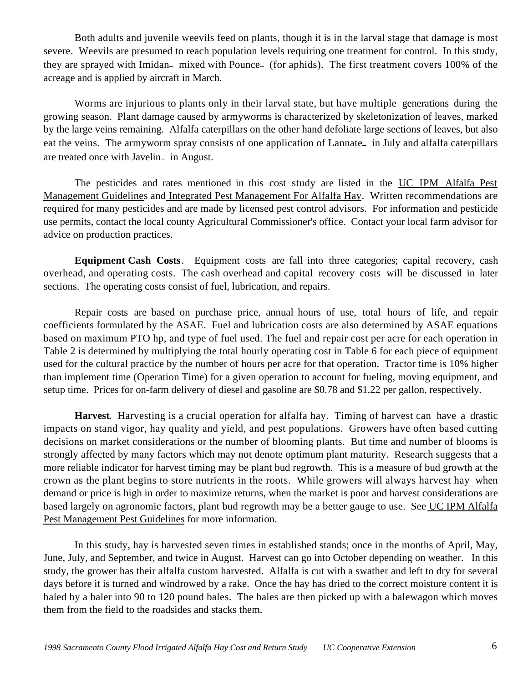Both adults and juvenile weevils feed on plants, though it is in the larval stage that damage is most severe. Weevils are presumed to reach population levels requiring one treatment for control. In this study, they are sprayed with Imidan\_ mixed with Pounce\_ (for aphids). The first treatment covers 100% of the acreage and is applied by aircraft in March.

Worms are injurious to plants only in their larval state, but have multiple generations during the growing season. Plant damage caused by armyworms is characterized by skeletonization of leaves, marked by the large veins remaining. Alfalfa caterpillars on the other hand defoliate large sections of leaves, but also eat the veins. The armyworm spray consists of one application of Lannate— in July and alfalfa caterpillars are treated once with Javelin\_ in August.

The pesticides and rates mentioned in this cost study are listed in the UC IPM Alfalfa Pest Management Guidelines and Integrated Pest Management For Alfalfa Hay. Written recommendations are required for many pesticides and are made by licensed pest control advisors. For information and pesticide use permits, contact the local county Agricultural Commissioner's office. Contact your local farm advisor for advice on production practices.

**Equipment Cash Costs**. Equipment costs are fall into three categories; capital recovery, cash overhead, and operating costs. The cash overhead and capital recovery costs will be discussed in later sections. The operating costs consist of fuel, lubrication, and repairs.

Repair costs are based on purchase price, annual hours of use, total hours of life, and repair coefficients formulated by the ASAE. Fuel and lubrication costs are also determined by ASAE equations based on maximum PTO hp, and type of fuel used. The fuel and repair cost per acre for each operation in Table 2 is determined by multiplying the total hourly operating cost in Table 6 for each piece of equipment used for the cultural practice by the number of hours per acre for that operation. Tractor time is 10% higher than implement time (Operation Time) for a given operation to account for fueling, moving equipment, and setup time. Prices for on-farm delivery of diesel and gasoline are \$0.78 and \$1.22 per gallon, respectively.

**Harvest**. Harvesting is a crucial operation for alfalfa hay. Timing of harvest can have a drastic impacts on stand vigor, hay quality and yield, and pest populations. Growers have often based cutting decisions on market considerations or the number of blooming plants. But time and number of blooms is strongly affected by many factors which may not denote optimum plant maturity. Research suggests that a more reliable indicator for harvest timing may be plant bud regrowth. This is a measure of bud growth at the crown as the plant begins to store nutrients in the roots. While growers will always harvest hay when demand or price is high in order to maximize returns, when the market is poor and harvest considerations are based largely on agronomic factors, plant bud regrowth may be a better gauge to use. See UC IPM Alfalfa Pest Management Pest Guidelines for more information.

In this study, hay is harvested seven times in established stands; once in the months of April, May, June, July, and September, and twice in August. Harvest can go into October depending on weather. In this study, the grower has their alfalfa custom harvested. Alfalfa is cut with a swather and left to dry for several days before it is turned and windrowed by a rake. Once the hay has dried to the correct moisture content it is baled by a baler into 90 to 120 pound bales. The bales are then picked up with a balewagon which moves them from the field to the roadsides and stacks them.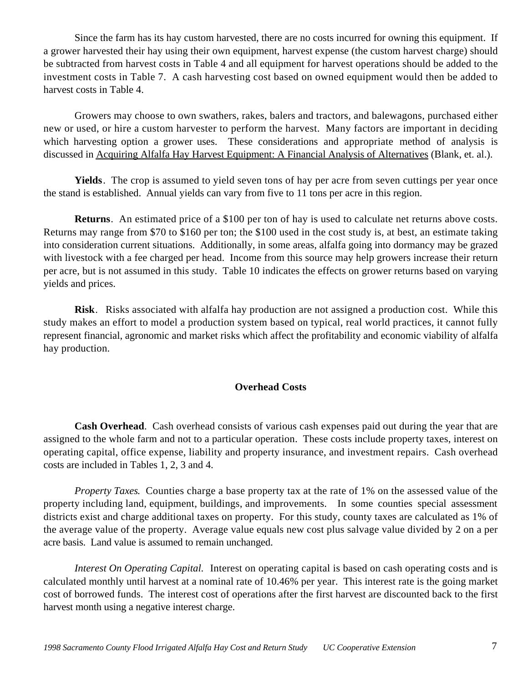Since the farm has its hay custom harvested, there are no costs incurred for owning this equipment. If a grower harvested their hay using their own equipment, harvest expense (the custom harvest charge) should be subtracted from harvest costs in Table 4 and all equipment for harvest operations should be added to the investment costs in Table 7. A cash harvesting cost based on owned equipment would then be added to harvest costs in Table 4.

Growers may choose to own swathers, rakes, balers and tractors, and balewagons, purchased either new or used, or hire a custom harvester to perform the harvest. Many factors are important in deciding which harvesting option a grower uses. These considerations and appropriate method of analysis is discussed in Acquiring Alfalfa Hay Harvest Equipment: A Financial Analysis of Alternatives (Blank, et. al.).

**Yields**. The crop is assumed to yield seven tons of hay per acre from seven cuttings per year once the stand is established. Annual yields can vary from five to 11 tons per acre in this region.

**Returns**. An estimated price of a \$100 per ton of hay is used to calculate net returns above costs. Returns may range from \$70 to \$160 per ton; the \$100 used in the cost study is, at best, an estimate taking into consideration current situations. Additionally, in some areas, alfalfa going into dormancy may be grazed with livestock with a fee charged per head. Income from this source may help growers increase their return per acre, but is not assumed in this study. Table 10 indicates the effects on grower returns based on varying yields and prices.

**Risk**. Risks associated with alfalfa hay production are not assigned a production cost. While this study makes an effort to model a production system based on typical, real world practices, it cannot fully represent financial, agronomic and market risks which affect the profitability and economic viability of alfalfa hay production.

#### **Overhead Costs**

**Cash Overhead**. Cash overhead consists of various cash expenses paid out during the year that are assigned to the whole farm and not to a particular operation. These costs include property taxes, interest on operating capital, office expense, liability and property insurance, and investment repairs. Cash overhead costs are included in Tables 1, 2, 3 and 4.

*Property Taxes.* Counties charge a base property tax at the rate of 1% on the assessed value of the property including land, equipment, buildings, and improvements. In some counties special assessment districts exist and charge additional taxes on property. For this study, county taxes are calculated as 1% of the average value of the property. Average value equals new cost plus salvage value divided by 2 on a per acre basis. Land value is assumed to remain unchanged.

*Interest On Operating Capital.* Interest on operating capital is based on cash operating costs and is calculated monthly until harvest at a nominal rate of 10.46% per year. This interest rate is the going market cost of borrowed funds. The interest cost of operations after the first harvest are discounted back to the first harvest month using a negative interest charge.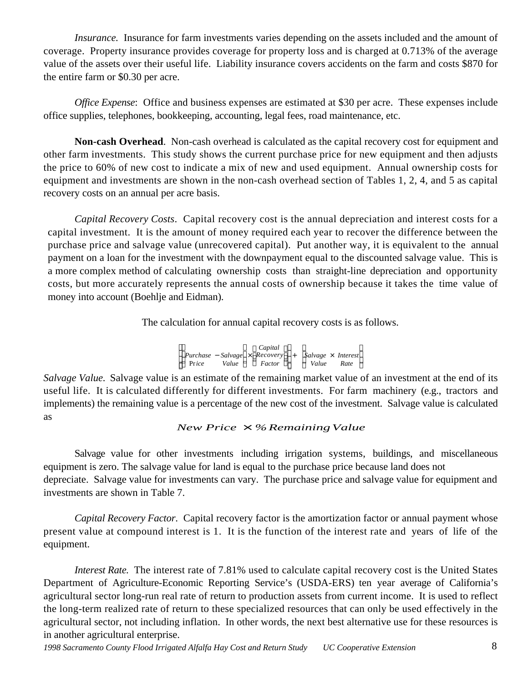*Insurance.* Insurance for farm investments varies depending on the assets included and the amount of coverage. Property insurance provides coverage for property loss and is charged at 0.713% of the average value of the assets over their useful life. Liability insurance covers accidents on the farm and costs \$870 for the entire farm or \$0.30 per acre.

*Office Expense*: Office and business expenses are estimated at \$30 per acre. These expenses include office supplies, telephones, bookkeeping, accounting, legal fees, road maintenance, etc.

**Non-cash Overhead**. Non-cash overhead is calculated as the capital recovery cost for equipment and other farm investments. This study shows the current purchase price for new equipment and then adjusts the price to 60% of new cost to indicate a mix of new and used equipment. Annual ownership costs for equipment and investments are shown in the non-cash overhead section of Tables 1, 2, 4, and 5 as capital recovery costs on an annual per acre basis.

*Capital Recovery Costs*. Capital recovery cost is the annual depreciation and interest costs for a capital investment. It is the amount of money required each year to recover the difference between the purchase price and salvage value (unrecovered capital). Put another way, it is equivalent to the annual payment on a loan for the investment with the downpayment equal to the discounted salvage value. This is a more complex method of calculating ownership costs than straight-line depreciation and opportunity costs, but more accurately represents the annual costs of ownership because it takes the time value of money into account (Boehlje and Eidman).

The calculation for annual capital recovery costs is as follows.

|       |       | Capital                                 |     |                           |  |
|-------|-------|-----------------------------------------|-----|---------------------------|--|
|       |       | $P$ urchase – Salvage $\times$ Recovery | $+$ | Salvage $\times$ Interest |  |
| Price | Value | Factor                                  |     | Value<br>Rate             |  |

*Salvage Value.* Salvage value is an estimate of the remaining market value of an investment at the end of its useful life. It is calculated differently for different investments. For farm machinery (e.g., tractors and implements) the remaining value is a percentage of the new cost of the investment. Salvage value is calculated as

### *New Price*  $\times$  *%Remaining Value*

Salvage value for other investments including irrigation systems, buildings, and miscellaneous equipment is zero. The salvage value for land is equal to the purchase price because land does not depreciate. Salvage value for investments can vary. The purchase price and salvage value for equipment and investments are shown in Table 7.

*Capital Recovery Factor*. Capital recovery factor is the amortization factor or annual payment whose present value at compound interest is 1. It is the function of the interest rate and years of life of the equipment.

*Interest Rate.* The interest rate of 7.81% used to calculate capital recovery cost is the United States Department of Agriculture-Economic Reporting Service's (USDA-ERS) ten year average of California's agricultural sector long-run real rate of return to production assets from current income. It is used to reflect the long-term realized rate of return to these specialized resources that can only be used effectively in the agricultural sector, not including inflation. In other words, the next best alternative use for these resources is in another agricultural enterprise.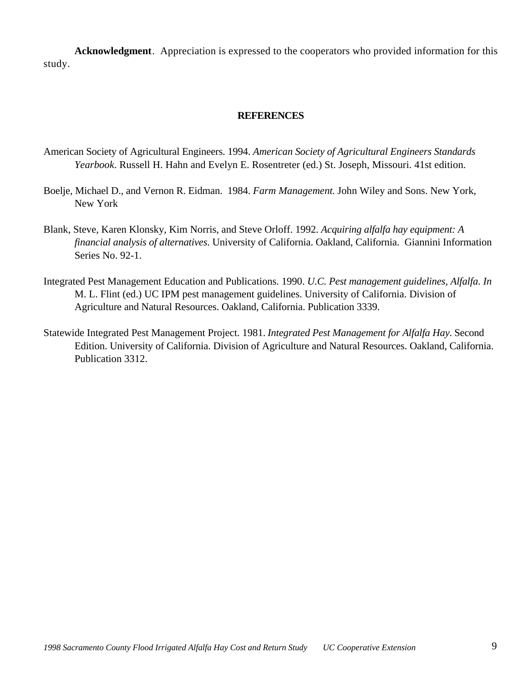**Acknowledgment**. Appreciation is expressed to the cooperators who provided information for this study.

#### **REFERENCES**

- American Society of Agricultural Engineers. 1994. *American Society of Agricultural Engineers Standards Yearbook*. Russell H. Hahn and Evelyn E. Rosentreter (ed.) St. Joseph, Missouri. 41st edition.
- Boelje, Michael D., and Vernon R. Eidman. 1984. *Farm Management*. John Wiley and Sons. New York, New York
- Blank, Steve, Karen Klonsky, Kim Norris, and Steve Orloff. 1992. *Acquiring alfalfa hay equipment: A financial analysis of alternatives*. University of California. Oakland, California. Giannini Information Series No. 92-1.
- Integrated Pest Management Education and Publications. 1990. *U.C. Pest management guidelines, Alfalfa*. *In* M. L. Flint (ed.) UC IPM pest management guidelines. University of California. Division of Agriculture and Natural Resources. Oakland, California. Publication 3339.
- Statewide Integrated Pest Management Project. 1981. *Integrated Pest Management for Alfalfa Hay*. Second Edition. University of California. Division of Agriculture and Natural Resources. Oakland, California. Publication 3312.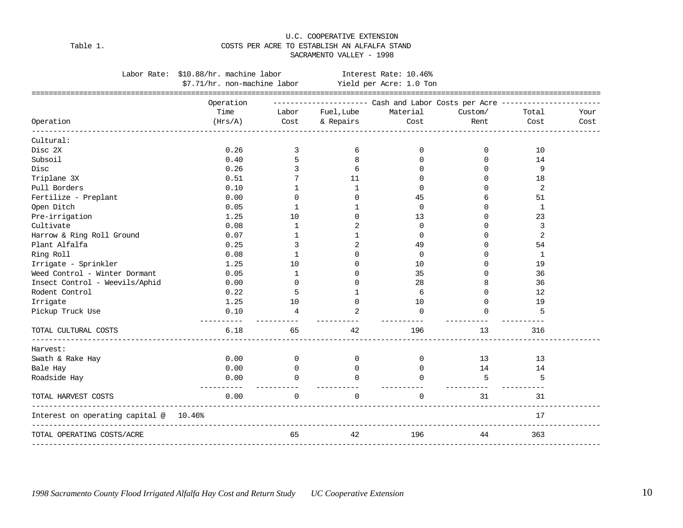#### U.C. COOPERATIVE EXTENSION Table 1. COSTS PER ACRE TO ESTABLISH AN ALFALFA STAND SACRAMENTO VALLEY - 1998

|                                                                  | Labor Rate: \$10.88/hr. machine labor                |                         |                       | Interest Rate: 10.46%                                                      |                  |              |      |
|------------------------------------------------------------------|------------------------------------------------------|-------------------------|-----------------------|----------------------------------------------------------------------------|------------------|--------------|------|
|                                                                  | \$7.71/hr. non-machine labor Yield per Acre: 1.0 Ton |                         |                       |                                                                            |                  |              |      |
|                                                                  | Operation                                            |                         |                       | --------------------- Cash and Labor Costs per Acre ---------------------- |                  |              |      |
|                                                                  | Time                                                 | Labor                   | Fuel, Lube            | Material                                                                   | Custom/          | Total        | Your |
| Operation                                                        | (Hrs/A)                                              | Cost                    | & Repairs             | Cost                                                                       | Rent             | Cost         | Cost |
| Cultural:                                                        |                                                      |                         |                       |                                                                            |                  |              |      |
| Disc 2X                                                          | 0.26                                                 | 3                       | 6                     | 0                                                                          | 0                | 10           |      |
| Subsoil                                                          | 0.40                                                 | 5                       | 8                     | 0                                                                          | $\mathbf 0$      | 14           |      |
| Disc                                                             | 0.26                                                 | 3                       | 6                     | 0                                                                          | $\Omega$         | 9            |      |
| Triplane 3X                                                      | 0.51                                                 | 7                       | 11                    | 0                                                                          | $\Omega$         | 18           |      |
| Pull Borders                                                     | 0.10                                                 | 1                       | 1                     | 0                                                                          | $\Omega$         | 2            |      |
| Fertilize - Preplant                                             | 0.00                                                 | $\Omega$                | $\Omega$              | 45                                                                         | 6                | 51           |      |
| Open Ditch                                                       | 0.05                                                 | 1                       | 1                     | $\Omega$                                                                   | $\cap$           | 1            |      |
| Pre-irrigation                                                   | 1.25                                                 | 10                      | $\Omega$              | 13                                                                         | $\Omega$         | 23           |      |
| Cultivate                                                        | 0.08                                                 | 1                       | 2                     | $\Omega$                                                                   | $\Omega$         | 3            |      |
| Harrow & Ring Roll Ground                                        | 0.07                                                 | 1                       | $\mathbf{1}$          | $\Omega$                                                                   | $\Omega$         | 2            |      |
| Plant Alfalfa                                                    | 0.25                                                 | 3                       | 2                     | 49                                                                         | $\Omega$         | 54           |      |
| Ring Roll                                                        | 0.08                                                 | $\mathbf{1}$            | 0                     | 0                                                                          | $\Omega$         | $\mathbf{1}$ |      |
| Irrigate - Sprinkler                                             | 1.25                                                 | 10                      | $\Omega$              | 10                                                                         | $\Omega$         | 19           |      |
| Weed Control - Winter Dormant                                    | 0.05                                                 | 1                       | ∩                     | 35                                                                         | 0                | 36           |      |
| Insect Control - Weevils/Aphid                                   | 0.00                                                 | $\Omega$                | ∩                     | 28                                                                         | 8                | 36           |      |
| Rodent Control                                                   | 0.22                                                 | 5                       | 1                     | 6                                                                          | $\Omega$         | 12           |      |
| Irrigate                                                         | 1.25                                                 | 10                      | $\Omega$              | 10                                                                         | $\Omega$         | 19           |      |
| Pickup Truck Use                                                 | 0.10                                                 | 4                       | 2                     | 0                                                                          | $\Omega$         | 5            |      |
| TOTAL CULTURAL COSTS                                             | 6.18                                                 | 65                      | 42                    | 196                                                                        | 13               | 316          |      |
| Harvest:                                                         |                                                      |                         |                       |                                                                            |                  |              |      |
| Swath & Rake Hay                                                 | 0.00                                                 | $\Omega$                | $\Omega$              | $\mathbf{0}$                                                               | 13               | 13           |      |
| Bale Hay                                                         | 0.00                                                 | $\overline{0}$          | 0                     | $\mathbf{0}$                                                               | 14               | 14           |      |
| Roadside Hay                                                     | 0.00<br>-----------                                  | $\Omega$<br>----------- | $\cap$<br>----------- | $\cap$<br>-----------                                                      | 5<br>----------- | 5            |      |
| TOTAL HARVEST COSTS                                              | 0.00                                                 | $\Omega$                | $\Omega$              | $\Omega$                                                                   | 31               | 31           |      |
| Interest on operating capital @ 10.46%<br>______________________ |                                                      |                         |                       |                                                                            |                  | 17           |      |
| TOTAL OPERATING COSTS/ACRE                                       |                                                      | 65                      | 42                    | 196<br>-------------                                                       | 44               | 363          |      |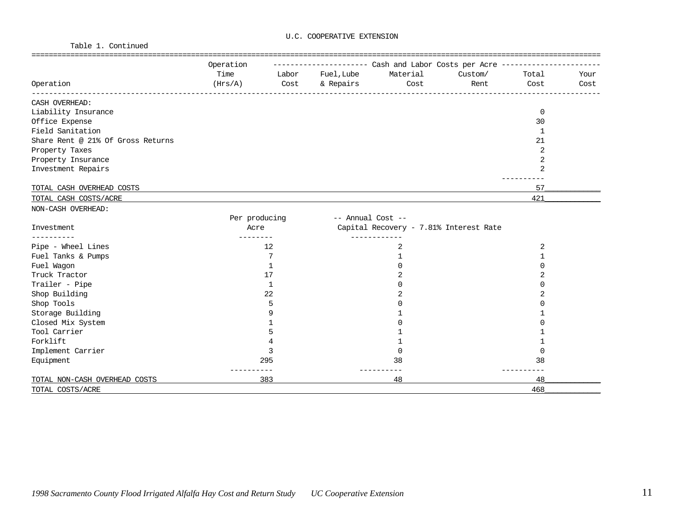Table 1. Continued

|                                   | Operation     |              |                  | --------------------        Cash and Labor Costs per Acre ---------------- |         |                |      |
|-----------------------------------|---------------|--------------|------------------|----------------------------------------------------------------------------|---------|----------------|------|
|                                   | Time          |              | Labor Fuel, Lube | Material                                                                   | Custom/ | Total          | Your |
| Operation                         | (Hrs/A)       | Cost         | & Repairs        | Cost                                                                       | Rent    | Cost           | Cost |
| CASH OVERHEAD:                    |               |              |                  |                                                                            |         |                |      |
| Liability Insurance               |               |              |                  |                                                                            |         | $\mathbf 0$    |      |
| Office Expense                    |               |              |                  |                                                                            |         | 30             |      |
| Field Sanitation                  |               |              |                  |                                                                            |         | $\mathbf{1}$   |      |
| Share Rent @ 21% Of Gross Returns |               |              |                  |                                                                            |         | 21             |      |
| Property Taxes                    |               |              |                  |                                                                            |         | $\overline{2}$ |      |
| Property Insurance                |               |              |                  |                                                                            |         | 2              |      |
| Investment Repairs                |               |              |                  |                                                                            |         | $\overline{2}$ |      |
| TOTAL CASH OVERHEAD COSTS         |               |              |                  |                                                                            |         | 57             |      |
| TOTAL CASH COSTS/ACRE             |               |              |                  |                                                                            |         | 421            |      |
| NON-CASH OVERHEAD:                |               |              |                  |                                                                            |         |                |      |
|                                   | Per producing |              |                  | -- Annual Cost --                                                          |         |                |      |
| Investment                        | Acre          |              |                  | Capital Recovery - 7.81% Interest Rate                                     |         |                |      |
|                                   |               |              |                  |                                                                            |         |                |      |
| Pipe - Wheel Lines                |               | 12           |                  | 2                                                                          |         | 2              |      |
| Fuel Tanks & Pumps                |               | 7            |                  | 1                                                                          |         | 1              |      |
| Fuel Wagon                        |               | 1            |                  | $\cap$                                                                     |         | ∩              |      |
| Truck Tractor                     |               | 17           |                  | 2                                                                          |         |                |      |
| Trailer - Pipe                    |               | $\mathbf{1}$ |                  |                                                                            |         |                |      |
| Shop Building                     |               | 22           |                  |                                                                            |         | 2              |      |
| Shop Tools                        |               | 5            |                  |                                                                            |         |                |      |
| Storage Building                  |               | 9            |                  |                                                                            |         |                |      |
| Closed Mix System                 |               |              |                  |                                                                            |         |                |      |
| Tool Carrier                      |               | 5            |                  |                                                                            |         |                |      |
| Forklift                          |               |              |                  | 1                                                                          |         |                |      |
| Implement Carrier                 |               | 3            |                  | $\Omega$                                                                   |         | $\Omega$       |      |
| Equipment                         |               | 295          |                  | 38                                                                         |         | 38             |      |
| TOTAL NON-CASH OVERHEAD COSTS     |               | 383          |                  | $- - -$<br>48                                                              |         | 48             |      |
| TOTAL COSTS/ACRE                  |               |              |                  |                                                                            |         | 468            |      |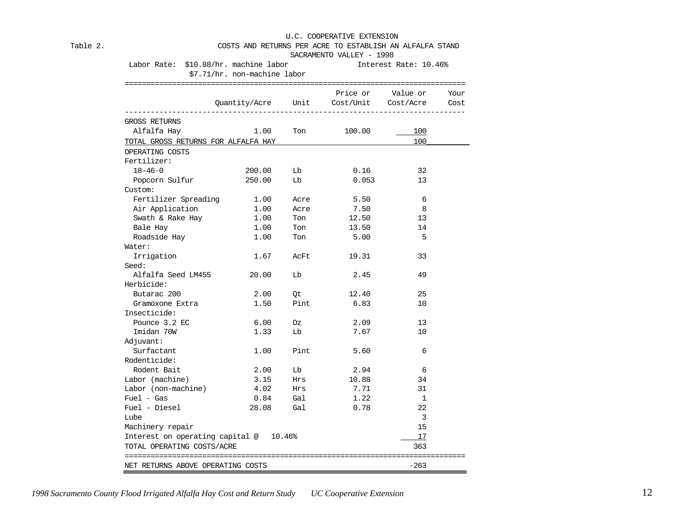#### Table 2. COSTS AND RETURNS PER ACRE TO ESTABLISH AN ALFALFA STAND SACRAMENTO VALLEY - 1998

| Labor Rate: \$10.88/hr. machine labor<br>\$7.71/hr. non-machine labor |        | Interest Rate: 10.46% |                                        |                        |      |
|-----------------------------------------------------------------------|--------|-----------------------|----------------------------------------|------------------------|------|
|                                                                       |        |                       | Quantity/Acre Unit Cost/Unit Cost/Acre | Price or Value or Your | Cost |
| GROSS RETURNS                                                         |        |                       |                                        |                        |      |
| Alfalfa Hay                                                           | 1.00   | Ton                   | 100.00                                 | 100                    |      |
| TOTAL GROSS RETURNS FOR ALFALFA HAY                                   |        |                       |                                        | 100                    |      |
| OPERATING COSTS                                                       |        |                       |                                        |                        |      |
| Fertilizer:                                                           |        |                       |                                        |                        |      |
| $18 - 46 - 0$                                                         | 200.00 | Lb                    | 0.16                                   | 32                     |      |
| Popcorn Sulfur                                                        | 250.00 | Lb                    | 0.053                                  | 13                     |      |
| Custom:                                                               |        |                       |                                        |                        |      |
| Fertilizer Spreading 1.00                                             |        | Acre                  | 5.50                                   | - 6                    |      |
| Air Application                                                       | 1.00   | Acre                  | 7.50                                   | - 8                    |      |
| Swath & Rake Hay                                                      | 1.00   | Ton                   | 12.50                                  | 13                     |      |
| Bale Hay                                                              | 1.00   | Ton                   | 13.50                                  | 14                     |      |
| Roadside Hay                                                          | 1.00   | Ton                   | 5.00                                   | - 5                    |      |
| Water:                                                                |        |                       |                                        |                        |      |
| Irrigation                                                            | 1.67   | AcFt                  | 19.31                                  | 33                     |      |
| Seed:                                                                 |        |                       |                                        |                        |      |
| Alfalfa Seed LM455                                                    | 20.00  | Lb                    | 2.45                                   | 49                     |      |
| Herbicide:                                                            |        |                       |                                        |                        |      |
| Butarac 200                                                           | 2.00   | Qt                    | 12.40                                  | 25                     |      |
| Gramoxone Extra                                                       | 1.50   | Pint                  | 6.83                                   | 10                     |      |
| Insecticide:                                                          |        |                       |                                        |                        |      |
| Pounce 3.2 EC                                                         | 6.00   | Oz                    | 2.09                                   | 13                     |      |
| Imidan 70W                                                            | 1.33   | Lb                    | 7.67                                   | 10                     |      |
| Adjuvant:                                                             |        |                       |                                        |                        |      |
| Surfactant                                                            | 1.00   | Pint                  | 5.60                                   | 6                      |      |
| Rodenticide:                                                          |        |                       |                                        |                        |      |
| Rodent Bait                                                           | 2.00   | Lb                    | 2.94                                   | -6                     |      |
| Labor (machine)                                                       | 3.15   | Hrs                   | 10.88                                  | 34                     |      |
| Labor (non-machine)                                                   | 4.02   | Hrs                   | 7.71                                   | 31                     |      |
| $Fuel - Gas$                                                          | 0.84   | Gal                   | 1.22                                   | $\mathbf{1}$           |      |
| Fuel - Diesel                                                         | 28.08  | Gal                   | 0.78                                   | 22                     |      |
| Lube                                                                  |        |                       |                                        | 3                      |      |
| Machinery repair                                                      |        |                       |                                        | 15                     |      |
| Interest on operating capital @ 10.46%                                |        |                       |                                        | 17                     |      |
| TOTAL OPERATING COSTS/ACRE                                            |        |                       |                                        | 363                    |      |
|                                                                       |        |                       |                                        |                        |      |
| NET RETURNS ABOVE OPERATING COSTS                                     |        |                       |                                        | $-263$                 |      |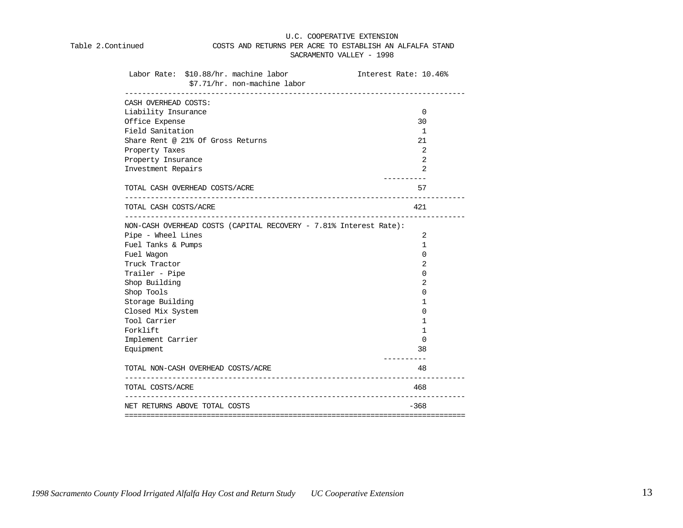#### Table 2.Continued COSTS AND RETURNS PER ACRE TO ESTABLISH AN ALFALFA STAND SACRAMENTO VALLEY - 1998

| Labor Rate: \$10.88/hr. machine labor<br>\$7.71/hr. non-machine labor                                       | Interest Rate: 10.46% |
|-------------------------------------------------------------------------------------------------------------|-----------------------|
| CASH OVERHEAD COSTS:                                                                                        |                       |
| Liability Insurance                                                                                         | 0                     |
| Office Expense                                                                                              | 30                    |
| Field Sanitation                                                                                            | 1                     |
| Share Rent @ 21% Of Gross Returns                                                                           | 21                    |
| Property Taxes                                                                                              | 2                     |
| Property Insurance                                                                                          | 2                     |
| Investment Repairs                                                                                          | 2                     |
| TOTAL CASH OVERHEAD COSTS/ACRE                                                                              | 57                    |
| TOTAL CASH COSTS/ACRE                                                                                       | 421                   |
| ----------------<br>NON-CASH OVERHEAD COSTS (CAPITAL RECOVERY - 7.81% Interest Rate):<br>Pipe - Wheel Lines | 2                     |
| Fuel Tanks & Pumps                                                                                          | 1                     |
| Fuel Wagon                                                                                                  | 0                     |
| Truck Tractor                                                                                               | 2                     |
| Trailer - Pipe                                                                                              | 0                     |
| Shop Building                                                                                               | 2                     |
| Shop Tools                                                                                                  | 0                     |
| Storage Building                                                                                            | 1                     |
| Closed Mix System                                                                                           | 0                     |
| Tool Carrier                                                                                                | ı                     |
| Forklift                                                                                                    | 1                     |
| Implement Carrier                                                                                           | 0                     |
| Equipment                                                                                                   | 38                    |
| TOTAL NON-CASH OVERHEAD COSTS/ACRE                                                                          | 48                    |
| TOTAL COSTS/ACRE                                                                                            | 468                   |
| NET RETURNS ABOVE TOTAL COSTS                                                                               | $-368$                |
|                                                                                                             |                       |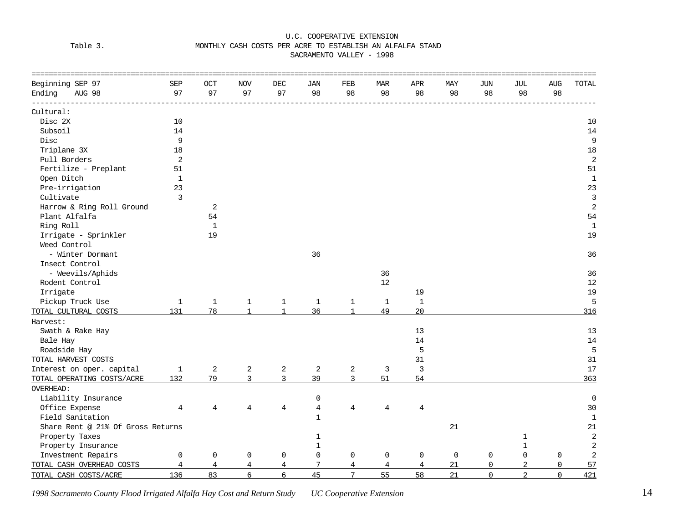#### Table 3. MONTHLY CASH COSTS PER ACRE TO ESTABLISH AN ALFALFA STAND

SACRAMENTO VALLEY - 1998

| Beginning SEP 97                  | <b>SEP</b>              | <b>OCT</b>   | <b>NOV</b>     | DEC            | JAN            | FEB             | <b>MAR</b>  | APR          | MAY         | JUN         | JUL            | <b>AUG</b>   | <b>TOTAL</b>   |
|-----------------------------------|-------------------------|--------------|----------------|----------------|----------------|-----------------|-------------|--------------|-------------|-------------|----------------|--------------|----------------|
| Ending<br>AUG 98                  | 97                      | 97           | 97             | 97             | 98             | 98              | 98          | 98           | 98          | 98          | 98             | 98           |                |
| Cultural:                         |                         |              |                |                |                |                 |             |              |             |             |                |              |                |
| Disc 2X                           | 10                      |              |                |                |                |                 |             |              |             |             |                |              | 10             |
| Subsoil                           | 14                      |              |                |                |                |                 |             |              |             |             |                |              | 14             |
| Disc                              | 9                       |              |                |                |                |                 |             |              |             |             |                |              | 9              |
| Triplane 3X                       | 18                      |              |                |                |                |                 |             |              |             |             |                |              | 18             |
| Pull Borders                      | $\overline{\mathbf{c}}$ |              |                |                |                |                 |             |              |             |             |                |              | $\sqrt{2}$     |
| Fertilize - Preplant              | 51                      |              |                |                |                |                 |             |              |             |             |                |              | 51             |
| Open Ditch                        | $\mathbf{1}$            |              |                |                |                |                 |             |              |             |             |                |              | $\mathbf{1}$   |
| Pre-irrigation                    | 23                      |              |                |                |                |                 |             |              |             |             |                |              | 23             |
| Cultivate                         | $\overline{3}$          |              |                |                |                |                 |             |              |             |             |                |              | $\mathbf{3}$   |
| Harrow & Ring Roll Ground         |                         | 2            |                |                |                |                 |             |              |             |             |                |              | $\overline{2}$ |
| Plant Alfalfa                     |                         | 54           |                |                |                |                 |             |              |             |             |                |              | 54             |
| Ring Roll                         |                         | $\mathbf 1$  |                |                |                |                 |             |              |             |             |                |              | $\mathbf{1}$   |
| Irrigate - Sprinkler              |                         | 19           |                |                |                |                 |             |              |             |             |                |              | 19             |
| Weed Control                      |                         |              |                |                |                |                 |             |              |             |             |                |              |                |
| - Winter Dormant                  |                         |              |                |                | 36             |                 |             |              |             |             |                |              | 36             |
| Insect Control                    |                         |              |                |                |                |                 |             |              |             |             |                |              |                |
| - Weevils/Aphids                  |                         |              |                |                |                |                 | 36          |              |             |             |                |              | 36             |
| Rodent Control                    |                         |              |                |                |                |                 | 12          |              |             |             |                |              | 12             |
| Irrigate                          |                         |              |                |                |                |                 |             | 19           |             |             |                |              | 19             |
| Pickup Truck Use                  | $\mathbf 1$             | $\mathbf{1}$ | $\mathbf{1}$   | $\mathbf{1}$   | $\mathbf{1}$   | $\mathbf{1}$    | $\mathbf 1$ | $\mathbf{1}$ |             |             |                |              | 5              |
| TOTAL CULTURAL COSTS              | 131                     | 78           | $\mathbf{1}$   | $\mathbf{1}$   | 36             | $\mathbf{1}$    | 49          | 20           |             |             |                |              | 316            |
| Harvest:                          |                         |              |                |                |                |                 |             |              |             |             |                |              |                |
| Swath & Rake Hay                  |                         |              |                |                |                |                 |             | 13           |             |             |                |              | 13             |
| Bale Hay                          |                         |              |                |                |                |                 |             | 14           |             |             |                |              | 14             |
| Roadside Hay                      |                         |              |                |                |                |                 |             | 5            |             |             |                |              | 5              |
| TOTAL HARVEST COSTS               |                         |              |                |                |                |                 |             | 31           |             |             |                |              | 31             |
| Interest on oper. capital         | $\mathbf 1$             | 2            | $\overline{a}$ | $\overline{c}$ | 2              | $\overline{a}$  | 3           | 3            |             |             |                |              | $17$           |
| TOTAL OPERATING COSTS/ACRE        | 132                     | 79           | 3              | $\mathbf{3}$   | 39             | $\overline{3}$  | 51          | 54           |             |             |                |              | 363            |
| OVERHEAD:                         |                         |              |                |                |                |                 |             |              |             |             |                |              |                |
| Liability Insurance               |                         |              |                |                | $\mathbf 0$    |                 |             |              |             |             |                |              | $\mathbf 0$    |
| Office Expense                    | 4                       | 4            | 4              | 4              | $\overline{4}$ | $\overline{4}$  | 4           | 4            |             |             |                |              | 30             |
| Field Sanitation                  |                         |              |                |                | $\mathbf{1}$   |                 |             |              |             |             |                |              | $\mathbf{1}$   |
| Share Rent @ 21% Of Gross Returns |                         |              |                |                |                |                 |             |              | 21          |             |                |              | 21             |
| Property Taxes                    |                         |              |                |                | $\mathbf 1$    |                 |             |              |             |             | $\mathbf 1$    |              | $\overline{2}$ |
| Property Insurance                |                         |              |                |                | $\mathbf 1$    |                 |             |              |             |             | $\mathbf 1$    |              | $\sqrt{2}$     |
| Investment Repairs                | 0                       | $\mathsf{O}$ | 0              | $\mathbf 0$    | $\mathsf{O}$   | $\mathsf 0$     | 0           | $\mathbf 0$  | $\mathbf 0$ | $\mathsf 0$ | $\Omega$       | $\mathsf{O}$ | $\sqrt{2}$     |
| TOTAL CASH OVERHEAD COSTS         | $\overline{4}$          | 4            | 4              | 4              | 7              | 4               | 4           | 4            | 21          | $\mathbf 0$ | 2              | $\mathbf 0$  | 57             |
| TOTAL CASH COSTS/ACRE             | 136                     | 83           | 6              | 6              | 45             | $7\overline{ }$ | 55          | 58           | 21          | $\Omega$    | $\overline{2}$ | $\Omega$     | 421            |

*1998 Sacramento County Flood Irrigated Alfalfa Hay Cost and Return Study UC Cooperative Extension* 14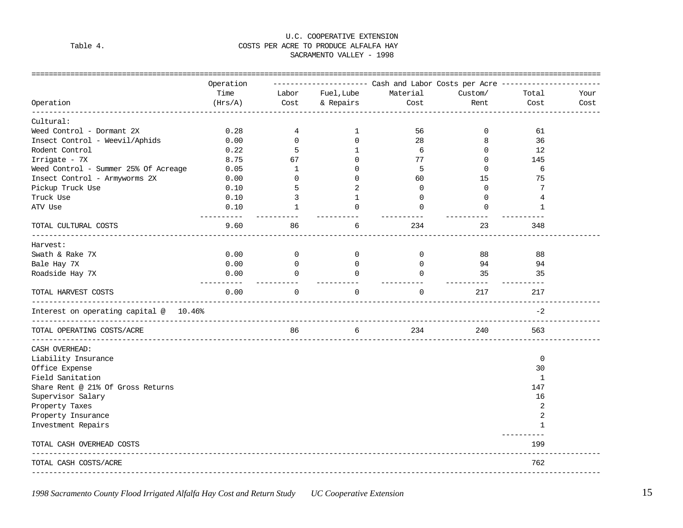#### U.C. COOPERATIVE EXTENSION Table 4. Table 4. SACRAMENTO VALLEY - 1998

| Operation<br>Cultural:<br>Weed Control - Dormant 2X    | Operation<br>Time<br>(Hrs/A)<br>0.28<br>0.00 | Labor<br>Cost<br>4      | Fuel, Lube<br>& Repairs | ---------------------        Cash and Labor Costs per Acre ---------------------<br>Material<br>Cost | Custom/<br>Rent   | Total<br>Cost      | Your<br>Cost |
|--------------------------------------------------------|----------------------------------------------|-------------------------|-------------------------|------------------------------------------------------------------------------------------------------|-------------------|--------------------|--------------|
|                                                        |                                              |                         |                         |                                                                                                      |                   |                    |              |
|                                                        |                                              |                         |                         |                                                                                                      |                   |                    |              |
|                                                        |                                              |                         |                         |                                                                                                      |                   |                    |              |
|                                                        |                                              |                         | 1                       | 56                                                                                                   | 0                 | 61                 |              |
| Insect Control - Weevil/Aphids                         |                                              | $\mathbf{0}$            | $\Omega$                | 28                                                                                                   | 8                 | 36                 |              |
| Rodent Control                                         | 0.22                                         | 5                       | $\mathbf{1}$            | 6                                                                                                    | $\Omega$          | 12                 |              |
| Irrigate - 7X                                          | 8.75                                         | 67                      | $\Omega$                | 77                                                                                                   | $\Omega$          | 145                |              |
| Weed Control - Summer 25% Of Acreage                   | 0.05                                         | 1                       | $\Omega$                | 5                                                                                                    | $\Omega$          | 6                  |              |
| Insect Control - Armyworms 2X                          | 0.00                                         | 0                       | $\Omega$                | 60                                                                                                   | 15                | 75                 |              |
| Pickup Truck Use                                       | 0.10                                         | 5                       | 2                       | $\Omega$                                                                                             | $\Omega$          | 7                  |              |
| Truck Use                                              | 0.10                                         | 3                       | 1                       | 0                                                                                                    | $\mathbf 0$       | 4                  |              |
| ATV Use<br>-----------                                 | 0.10                                         | $\mathbf{1}$            | $\cap$                  | $\Omega$                                                                                             | $\Omega$          | 1                  |              |
| TOTAL CULTURAL COSTS                                   | 9.60                                         | 86                      | 6                       | 234                                                                                                  | 23                | 348                |              |
| Harvest:                                               |                                              |                         |                         |                                                                                                      |                   |                    |              |
| Swath & Rake 7X                                        | 0.00                                         | $\overline{0}$          | $\overline{0}$          | $\overline{0}$                                                                                       | 88                | 88                 |              |
| Bale Hay 7X                                            | 0.00                                         | $\overline{0}$          | $\overline{0}$          | $\Omega$                                                                                             | 94                | 94                 |              |
| Roadside Hay 7X                                        | 0.00<br>-----------                          | $\Omega$<br>----------- | $\Omega$<br>----------- | $\Omega$<br>-----------                                                                              | 35<br>----------- | 35<br>-----------  |              |
| TOTAL HARVEST COSTS                                    | 0.00                                         | $\Omega$                | $\Omega$                | $\Omega$                                                                                             | 217               | 217                |              |
| Interest on operating capital @ 10.46%                 |                                              |                         |                         |                                                                                                      |                   | $-2$               |              |
| TOTAL OPERATING COSTS/ACRE                             |                                              | 86                      | 6                       | 234                                                                                                  | 240               | 563                |              |
| CASH OVERHEAD:                                         |                                              |                         |                         |                                                                                                      |                   |                    |              |
| Liability Insurance                                    |                                              |                         |                         |                                                                                                      |                   | 0                  |              |
| Office Expense                                         |                                              |                         |                         |                                                                                                      |                   | 30                 |              |
| Field Sanitation                                       |                                              |                         |                         |                                                                                                      |                   | 1                  |              |
| Share Rent @ 21% Of Gross Returns                      |                                              |                         |                         |                                                                                                      |                   | 147                |              |
| Supervisor Salary                                      |                                              |                         |                         |                                                                                                      |                   | 16                 |              |
| Property Taxes                                         |                                              |                         |                         |                                                                                                      |                   | 2                  |              |
| Property Insurance                                     |                                              |                         |                         |                                                                                                      |                   | $\overline{2}$     |              |
| Investment Repairs                                     |                                              |                         |                         |                                                                                                      |                   | $\mathbf{1}$       |              |
| TOTAL CASH OVERHEAD COSTS                              |                                              |                         |                         |                                                                                                      |                   | -----------<br>199 |              |
| TOTAL CASH COSTS/ACRE<br>----------------------------- |                                              |                         |                         |                                                                                                      |                   | 762                |              |

*1998 Sacramento County Flood Irrigated Alfalfa Hay Cost and Return Study UC Cooperative Extension* 15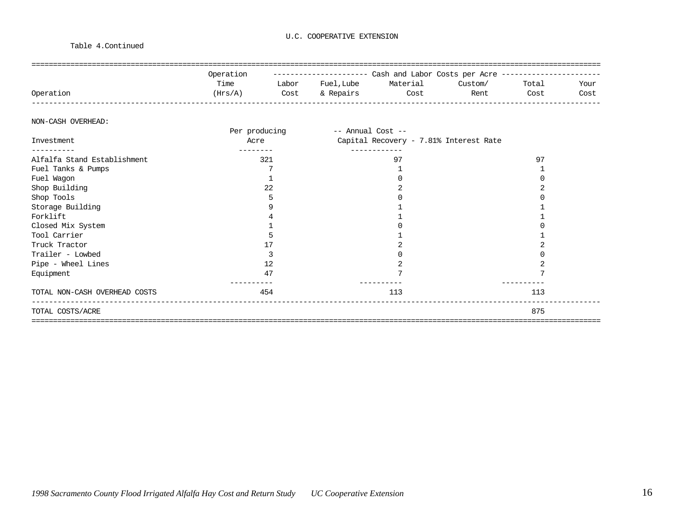#### Table 4.Continued

|           | Operation | ___________________ |           |          | Cash and Labor Costs per Acre ----------- |       |      |
|-----------|-----------|---------------------|-----------|----------|-------------------------------------------|-------|------|
|           | Time      | Labor               | Fuel,Lube | Material | Custom/                                   | Total | Your |
| Operation | (Hrs/A)   | Cost                | & Repairs | Cost     | Rent                                      | Cost  | Cost |
|           |           |                     |           |          |                                           |       |      |

#### NON-CASH OVERHEAD:

|                               | Per producing | -- Annual Cost --                      |     |
|-------------------------------|---------------|----------------------------------------|-----|
| Investment                    | Acre          | Capital Recovery - 7.81% Interest Rate |     |
| . _ _ _ _ _ _ _ _             |               | ---------                              |     |
| Alfalfa Stand Establishment   | 321           | 97                                     | 97  |
| Fuel Tanks & Pumps            |               |                                        |     |
| Fuel Wagon                    |               |                                        |     |
| Shop Building                 | 22            |                                        |     |
| Shop Tools                    |               |                                        |     |
| Storage Building              |               |                                        |     |
| Forklift                      |               |                                        |     |
| Closed Mix System             |               |                                        |     |
| Tool Carrier                  |               |                                        |     |
| Truck Tractor                 |               |                                        |     |
| Trailer - Lowbed              |               |                                        |     |
| Pipe - Wheel Lines            | 12            |                                        |     |
| Equipment                     | 47            |                                        |     |
| TOTAL NON-CASH OVERHEAD COSTS | 454           | 113                                    | 113 |
| TOTAL COSTS/ACRE              |               |                                        | 875 |
|                               |               |                                        |     |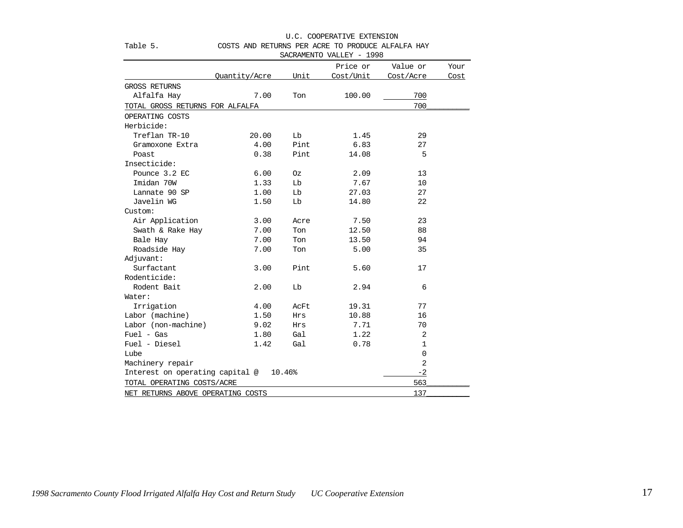|                                   |               |            | SACRAMENTO VALLEY - 1998 |                |      |
|-----------------------------------|---------------|------------|--------------------------|----------------|------|
|                                   |               |            | Price or                 | Value or       | Your |
|                                   | Quantity/Acre | Unit       | Cost/Unit                | Cost/Acre      | Cost |
| <b>GROSS RETURNS</b>              |               |            |                          |                |      |
| Alfalfa Hay                       | 7.00          | Ton        | 100.00                   | 700            |      |
| TOTAL GROSS RETURNS FOR ALFALFA   |               |            |                          | 700            |      |
| OPERATING COSTS                   |               |            |                          |                |      |
| Herbicide:                        |               |            |                          |                |      |
| Treflan TR-10                     | 20.00         | Lb         | 1.45                     | 29             |      |
| Gramoxone Extra                   | 4.00          | Pint       | 6.83                     | 27             |      |
| Poast                             | 0.38          | Pint       | 14.08                    | 5              |      |
| Insecticide:                      |               |            |                          |                |      |
| Pounce 3.2 EC                     | 6.00          | Οz         | 2.09                     | 13             |      |
| Imidan 70W                        | 1.33          | Lb         | 7.67                     | 10             |      |
| Lannate 90 SP                     | 1.00          | ГP         | 27.03                    | 27             |      |
| Javelin WG                        | 1.50          | Lb         | 14.80                    | 22             |      |
| Custom:                           |               |            |                          |                |      |
| Air Application                   | 3.00          | Acre       | 7.50                     | 23             |      |
| Swath & Rake Hay                  | 7.00          | Ton        | 12.50                    | 88             |      |
| Bale Hay                          | 7.00          | Ton        | 13.50                    | 94             |      |
| Roadside Hay                      | 7.00          | Ton        | 5.00                     | 35             |      |
| Adjuvant:                         |               |            |                          |                |      |
| Surfactant                        | 3.00          | Pint       | 5.60                     | 17             |      |
| Rodenticide:                      |               |            |                          |                |      |
| Rodent Bait                       | 2.00          | Lb         | 2.94                     | 6              |      |
| Water:                            |               |            |                          |                |      |
| Irrigation                        | 4.00          | AcFt       | 19.31                    | 77             |      |
| Labor (machine)                   | 1.50          | <b>Hrs</b> | 10.88                    | 16             |      |
| Labor (non-machine)               | 9.02          | Hrs        | 7.71                     | 70             |      |
| $Fuel - Gas$                      | 1.80          | Gal        | 1.22                     | $\overline{2}$ |      |
| Fuel - Diesel                     | 1.42          | Gal        | 0.78                     | 1              |      |
| Lube                              |               |            |                          | $\mathbf 0$    |      |
| Machinery repair                  |               |            |                          | 2              |      |
| Interest on operating capital @   |               | 10.46%     |                          | $-2$           |      |
| TOTAL OPERATING COSTS/ACRE        |               |            |                          | 563            |      |
| NET RETURNS ABOVE OPERATING COSTS |               |            |                          | 137            |      |

#### U.C. COOPERATIVE EXTENSION Table 5. COSTS AND RETURNS PER ACRE TO PRODUCE ALFALFA HAY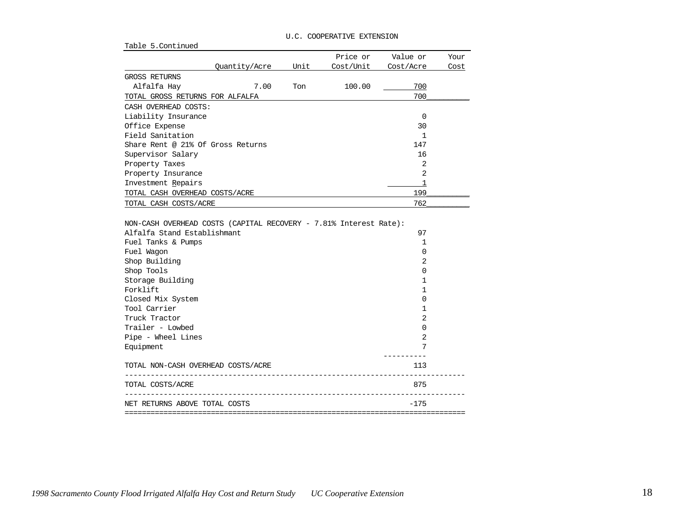| Table 5. Continued                                                                                                                                                                                                                          |                                                                             |      |
|---------------------------------------------------------------------------------------------------------------------------------------------------------------------------------------------------------------------------------------------|-----------------------------------------------------------------------------|------|
| Price or                                                                                                                                                                                                                                    | Value or                                                                    | Your |
| Unit<br>Cost/Unit<br>Quantity/Acre                                                                                                                                                                                                          | Cost/Acre                                                                   | Cost |
| <b>GROSS RETURNS</b>                                                                                                                                                                                                                        |                                                                             |      |
| Alfalfa Hay<br>7.00<br>Ton<br>100.00                                                                                                                                                                                                        | 700                                                                         |      |
| TOTAL GROSS RETURNS FOR ALFALFA                                                                                                                                                                                                             | 700                                                                         |      |
| CASH OVERHEAD COSTS:                                                                                                                                                                                                                        |                                                                             |      |
| Liability Insurance                                                                                                                                                                                                                         | 0                                                                           |      |
| Office Expense                                                                                                                                                                                                                              | 30                                                                          |      |
| Field Sanitation                                                                                                                                                                                                                            | $\mathbf{1}$                                                                |      |
| Share Rent @ 21% Of Gross Returns                                                                                                                                                                                                           | 147                                                                         |      |
| Supervisor Salary                                                                                                                                                                                                                           | 16                                                                          |      |
| Property Taxes                                                                                                                                                                                                                              | 2                                                                           |      |
| Property Insurance                                                                                                                                                                                                                          | 2                                                                           |      |
| Investment Repairs                                                                                                                                                                                                                          | 1                                                                           |      |
| TOTAL CASH OVERHEAD COSTS/ACRE                                                                                                                                                                                                              | 199                                                                         |      |
| TOTAL CASH COSTS/ACRE                                                                                                                                                                                                                       | 762                                                                         |      |
| Alfalfa Stand Establishmant<br>Fuel Tanks & Pumps<br>Fuel Wagon<br>Shop Building<br>Shop Tools<br>Storage Building<br>Forklift<br>Closed Mix System<br>Tool Carrier<br>Truck Tractor<br>Trailer - Lowbed<br>Pipe - Wheel Lines<br>Equipment | 97<br>1<br>0<br>2<br>0<br>1<br>1<br>0<br>1<br>$\overline{2}$<br>0<br>2<br>7 |      |
|                                                                                                                                                                                                                                             |                                                                             |      |
| TOTAL NON-CASH OVERHEAD COSTS/ACRE<br>________<br>____________________                                                                                                                                                                      | 113                                                                         |      |
| TOTAL COSTS/ACRE<br>---------------------------                                                                                                                                                                                             | 875                                                                         |      |
| NET RETURNS ABOVE TOTAL COSTS                                                                                                                                                                                                               | $-175$                                                                      |      |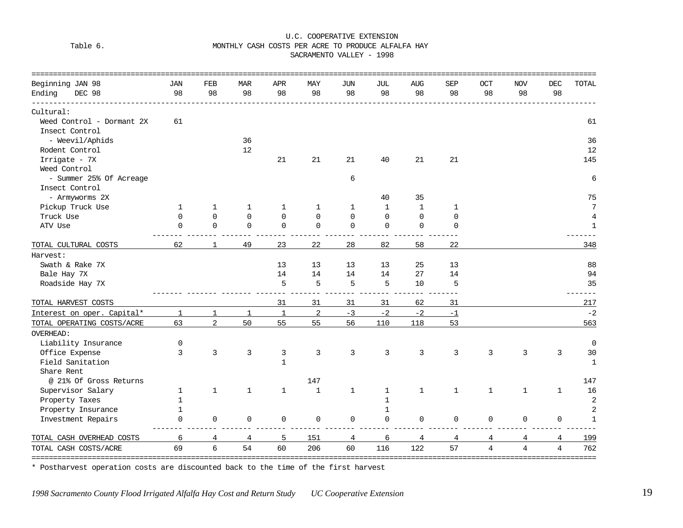#### Table 6. MONTHLY CASH COSTS PER ACRE TO PRODUCE ALFALFA HAY

SACRAMENTO VALLEY - 1998

| Beginning JAN 98           | <b>JAN</b>   | FEB            | <b>MAR</b>   | APR          | MAY            | JUN          | JUL          | AUG          | <b>SEP</b>   | OCT            | <b>NOV</b>     | DEC            | TOTAL          |
|----------------------------|--------------|----------------|--------------|--------------|----------------|--------------|--------------|--------------|--------------|----------------|----------------|----------------|----------------|
| Ending<br>DEC 98           | 98           | 98             | 98           | 98           | 98             | 98           | 98           | 98           | 98           | 98             | 98             | 98             |                |
| Cultural:                  |              |                |              |              |                |              |              |              |              |                |                |                |                |
| Weed Control - Dormant 2X  | 61           |                |              |              |                |              |              |              |              |                |                |                | 61             |
| Insect Control             |              |                |              |              |                |              |              |              |              |                |                |                |                |
| - Weevil/Aphids            |              |                | 36           |              |                |              |              |              |              |                |                |                | 36             |
| Rodent Control             |              |                | 12           |              |                |              |              |              |              |                |                |                | 12             |
| Irrigate - 7X              |              |                |              | 21           | 21             | 21           | 40           | 21           | 21           |                |                |                | 145            |
| Weed Control               |              |                |              |              |                |              |              |              |              |                |                |                |                |
| - Summer 25% Of Acreage    |              |                |              |              |                | 6            |              |              |              |                |                |                | 6              |
| Insect Control             |              |                |              |              |                |              |              |              |              |                |                |                |                |
| - Armyworms 2X             |              |                |              |              |                |              | 40           | 35           |              |                |                |                | 75             |
| Pickup Truck Use           | 1            | 1              | 1            | 1            | 1              | 1            | $\mathbf{1}$ | $\mathbf{1}$ | $\mathbf 1$  |                |                |                | 7              |
| Truck Use                  | $\Omega$     | 0              | $\Omega$     | $\mathbf 0$  | $\Omega$       | $\mathsf 0$  | 0            | $\mathbf 0$  | 0            |                |                |                | $\overline{4}$ |
| ATV Use                    | $\Omega$     | $\overline{0}$ | $\Omega$     | $\mathbf 0$  | $\mathbf 0$    | $\mathbf 0$  | 0            | 0            | 0            |                |                |                | 1              |
| TOTAL CULTURAL COSTS       | 62           | 1              | 49           | 23           | 22             | 28           | 82           | 58           | 22           |                |                |                | 348            |
| Harvest:                   |              |                |              |              |                |              |              |              |              |                |                |                |                |
| Swath & Rake 7X            |              |                |              | 13           | 13             | 13           | 13           | 25           | 13           |                |                |                | 88             |
| Bale Hay 7X                |              |                |              | 14           | 14             | 14           | 14           | 27           | 14           |                |                |                | 94             |
| Roadside Hay 7X            |              |                |              | 5            | 5              | 5            | 5            | 10           | 5            |                |                |                | 35             |
| TOTAL HARVEST COSTS        |              |                |              | 31           | 31             | 31           | 31           | 62           | 31           |                |                |                | 217            |
| Interest on oper. Capital* | 1            | 1              | $\mathbf{1}$ | $\mathbf{1}$ | $\overline{a}$ | $-3$         | $-2$         | $-2$         | $-1$         |                |                |                | $-2$           |
| TOTAL OPERATING COSTS/ACRE | 63           | $\overline{a}$ | 50           | 55           | 55             | 56           | 110          | 118          | 53           |                |                |                | 563            |
| <b>OVERHEAD:</b>           |              |                |              |              |                |              |              |              |              |                |                |                |                |
| Liability Insurance        | 0            |                |              |              |                |              |              |              |              |                |                |                | $\mathbf 0$    |
| Office Expense             | 3            | 3              | 3            | $\mathbf{3}$ | 3              | 3            | 3            | 3            | 3            | 3              | 3              | 3              | 30             |
| Field Sanitation           |              |                |              | $\mathbf 1$  |                |              |              |              |              |                |                |                | $1\,$          |
| Share Rent                 |              |                |              |              |                |              |              |              |              |                |                |                |                |
| @ 21% Of Gross Returns     |              |                |              |              | 147            |              |              |              |              |                |                |                | 147            |
| Supervisor Salary          | 1            | $\mathbf 1$    | $\mathbf{1}$ | $\mathbf 1$  | $\mathbf{1}$   | $\mathbf{1}$ | 1            | $\mathbf{1}$ | $\mathbf{1}$ | $\mathbf 1$    | 1              | $\mathbf{1}$   | 16             |
| Property Taxes             | $\mathbf{1}$ |                |              |              |                |              | $\mathbf{1}$ |              |              |                |                |                | $\overline{2}$ |
| Property Insurance         | 1            |                |              |              |                |              | $\mathbf 1$  |              |              |                |                |                | $\overline{a}$ |
| Investment Repairs         | $\Omega$     | $\mathbf 0$    | $\Omega$     | $\mathbf 0$  | $\mathbf 0$    | $\mathbf 0$  | 0            | 0            | 0            | $\mathbf 0$    | 0              | 0              | $\mathbf{1}$   |
| TOTAL CASH OVERHEAD COSTS  | 6            | 4              | 4            | 5            | 151            | 4            | 6            | 4            | 4            | 4              | 4              | 4              | 199            |
| TOTAL CASH COSTS/ACRE      | 69           | 6              | 54           | 60           | 206            | 60           | 116          | 122          | 57           | $\overline{4}$ | $\overline{4}$ | $\overline{4}$ | 762<br>====    |

\* Postharvest operation costs are discounted back to the time of the first harvest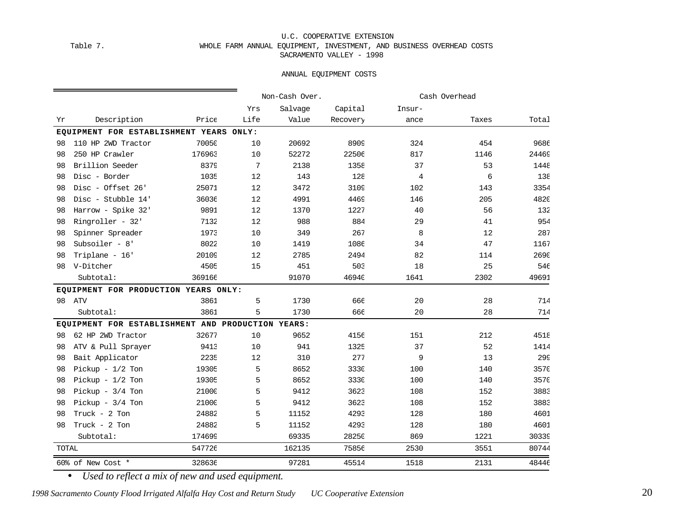#### U.C. COOPERATIVE EXTENSION Table 7. WHOLE FARM ANNUAL EQUIPMENT, INVESTMENT, AND BUSINESS OVERHEAD COSTS SACRAMENTO VALLEY - 1998

#### ANNUAL EQUIPMENT COSTS

|              |                                                   |        |      | Non-Cash Over. |          |                | Cash Overhead |       |
|--------------|---------------------------------------------------|--------|------|----------------|----------|----------------|---------------|-------|
|              |                                                   |        | Yrs  | Salvage        | Capital  | Insur-         |               |       |
| Yr           | Description                                       | Price  | Life | Value          | Recovery | ance           | Taxes         | Total |
|              | EQUIPMENT FOR ESTABLISHMENT YEARS ONLY:           |        |      |                |          |                |               |       |
| 98           | 110 HP 2WD Tractor                                | 70050  | 10   | 20692          | 8909     | 324            | 454           | 9686  |
| 98           | 250 HP Crawler                                    | 176963 | 10   | 52272          | 22506    | 817            | 1146          | 24469 |
| 98           | Brillion Seeder                                   | 8379   | 7    | 2138           | 1358     | 37             | 53            | 1448  |
| 98           | Disc - Border                                     | 1035   | 12   | 143            | 128      | $\overline{4}$ | 6             | 138   |
| 98           | Disc - Offset 26'                                 | 25071  | 12   | 3472           | 3109     | 102            | 143           | 3354  |
| 98           | Disc - Stubble 14'                                | 36036  | 12   | 4991           | 4469     | 146            | 205           | 482C  |
| 98           | Harrow - Spike 32'                                | 9891   | 12   | 1370           | 1227     | 40             | 56            | 132   |
| 98           | Ringroller - 32'                                  | 7132   | 12   | 988            | 884      | 29             | 41            | 954   |
| 98           | Spinner Spreader                                  | 1973   | 10   | 349            | 267      | 8              | 12            | 287   |
| 98           | Subsoiler - $8'$                                  | 8022   | 10   | 1419           | 1086     | 34             | 47            | 1167  |
| 98           | Triplane - 16'                                    | 20109  | 12   | 2785           | 2494     | 82             | 114           | 269C  |
| 98           | V-Ditcher                                         | 4505   | 15   | 451            | 503      | 18             | 25            | 546   |
|              | Subtotal:                                         | 369166 |      | 91070          | 46940    | 1641           | 2302          | 49691 |
|              | EQUIPMENT FOR PRODUCTION YEARS ONLY:              |        |      |                |          |                |               |       |
| 98           | ATV                                               | 3861   | 5    | 1730           | 666      | 20             | 28            | 714   |
|              | Subtotal:                                         | 3861   | 5    | 1730           | 666      | 20             | 28            | 714   |
|              | EQUIPMENT FOR ESTABLISHMENT AND PRODUCTION YEARS: |        |      |                |          |                |               |       |
| 98           | 62 HP 2WD Tractor                                 | 32677  | 10   | 9652           | 4156     | 151            | 212           | 4518  |
| 98           | ATV & Pull Sprayer                                | 9413   | 10   | 941            | 1325     | 37             | 52            | 1414  |
| 98           | Bait Applicator                                   | 2235   | 12   | 310            | 277      | 9              | 13            | 299   |
| 98           | Pickup - $1/2$ Ton                                | 19305  | 5    | 8652           | 3330     | 100            | 140           | 357C  |
| 98           | Pickup - $1/2$ Ton                                | 19305  | 5    | 8652           | 3330     | 100            | 140           | 357C  |
| 98           | Pickup - $3/4$ Ton                                | 21000  | 5    | 9412           | 3623     | 108            | 152           | 3883  |
| 98           | Pickup - $3/4$ Ton                                | 21000  | 5    | 9412           | 3623     | 108            | 152           | 3883  |
| 98           | Truck - 2 Ton                                     | 24882  | 5    | 11152          | 4293     | 128            | 180           | 4601  |
| 98           | Truck - 2 Ton                                     | 24882  | 5    | 11152          | 4293     | 128            | 180           | 4601  |
|              | Subtotal:                                         | 174699 |      | 69335          | 28250    | 869            | 1221          | 30339 |
| <b>TOTAL</b> |                                                   | 547726 |      | 162135         | 75856    | 2530           | 3551          | 80744 |
|              | 60% of New Cost *                                 | 328636 |      | 97281          | 45514    | 1518           | 2131          | 48446 |

• *Used to reflect a mix of new and used equipment.*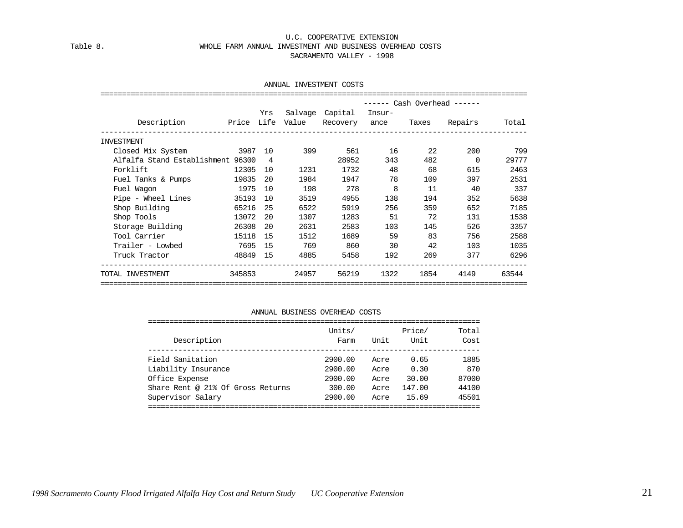#### U.C. COOPERATIVE EXTENSION Table 8. WHOLE FARM ANNUAL INVESTMENT AND BUSINESS OVERHEAD COSTS SACRAMENTO VALLEY - 1998

#### ANNUAL INVESTMENT COSTS

|                                   |          |     |       |                 |             |      | ------ Cash Overhead ------ |       |
|-----------------------------------|----------|-----|-------|-----------------|-------------|------|-----------------------------|-------|
|                                   |          | Yrs |       | Salvage Capital | Insur-      |      |                             |       |
| Description Price Life Value      |          |     |       |                 |             |      | Recovery ance Taxes Repairs | Total |
| INVESTMENT                        |          |     |       |                 |             |      |                             |       |
| Closed Mix System 3987 10         |          |     | 399   |                 | 561 7<br>16 | 22   | 200                         | 799   |
| Alfalfa Stand Establishment 96300 |          |     |       | 28952           | 343         | 482  | $\Omega$                    | 29777 |
| Forklift                          | 12305    | 10  | 1231  | 1732            | 48          | 68   | 615                         | 2463  |
| Fuel Tanks & Pumps                | 19835    | 20  | 1984  | 1947            | 78          | 109  | 397                         | 2531  |
| Fuel Wagon                        | 1975     | 10  | 198   | 278             | 8           | 11   | 40                          | 337   |
| Pipe - Wheel Lines                | 35193    | 10  | 3519  | 4955            | 138         | 194  | 352                         | 5638  |
| Shop Building                     | 65216    | 25  | 6522  | 5919            | 256         | 359  | 652                         | 7185  |
| Shop Tools and the Shop Tools     | 13072    | 20  | 1307  | 1283            | 51          | 72   | 131                         | 1538  |
| Storage Building                  | 26308    | 20  | 2631  | 2583            | 103         | 145  | 526                         | 3357  |
| Tool Carrier                      | 15118    | 15  | 1512  | 1689            | 59          | 83   | 756                         | 2588  |
| Trailer - Lowbed                  | 7695     | 15  | 769   | 860             | 30          | 42   | 103                         | 1035  |
| Truck Tractor                     | 48849 15 |     | 4885  | 5458            | 192         | 269  | 377                         | 6296  |
| TOTAL INVESTMENT                  | 345853   |     | 24957 | 56219           | 1322        | 1854 | 4149                        | 63544 |

#### ANNUAL BUSINESS OVERHEAD COSTS

| Description                       | Units/<br>Farm | Unit | Price/<br>Unit | Total<br>Cost |
|-----------------------------------|----------------|------|----------------|---------------|
| Field Sanitation                  | 2900.00        | Acre | 0.65           | 1885          |
| Liability Insurance               | 2900.00        | Acre | 0.30           | 870           |
| Office Expense                    | 2900.00        | Acre | 30.00          | 87000         |
| Share Rent @ 21% Of Gross Returns | 300.00         | Acre | 147.00         | 44100         |
| Supervisor Salary                 | 2900.00        | Acre | 15.69          | 45501         |
|                                   |                |      |                |               |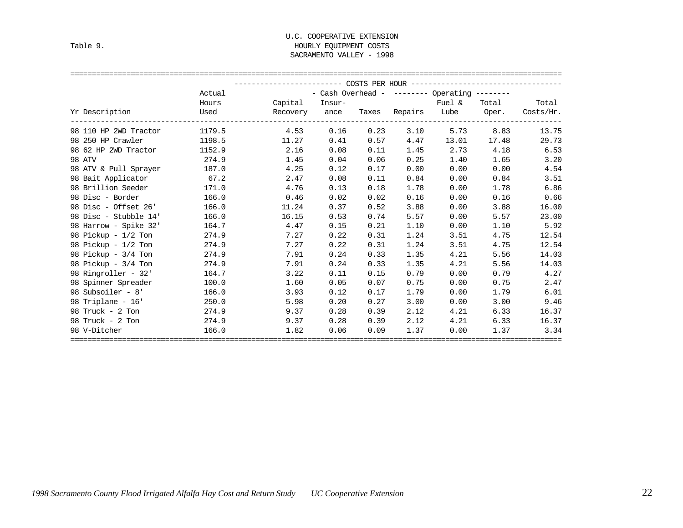#### U.C. COOPERATIVE EXTENSION Table 9. HOURLY EQUIPMENT COSTS SACRAMENTO VALLEY - 1998

|                              |                                                                                                                                                                                                                                | ----------------------    COSTS PER HOUR    -------------------------------- |      |             |      |                                             |       |                                    |
|------------------------------|--------------------------------------------------------------------------------------------------------------------------------------------------------------------------------------------------------------------------------|------------------------------------------------------------------------------|------|-------------|------|---------------------------------------------|-------|------------------------------------|
|                              | Actual                                                                                                                                                                                                                         |                                                                              |      |             |      | - Cash Overhead - $-----$ Operating $-----$ |       |                                    |
|                              | Hours                                                                                                                                                                                                                          | Capital Insur-<br>Fuel &                                                     |      |             |      |                                             |       | Total Total                        |
| Yr Description               | Used and the control of the control of the control of the control of the control of the control of the control of the control of the control of the control of the control of the control of the control of the control of the | Recovery ance                                                                |      |             |      |                                             |       | Taxes Repairs Lube Oper. Costs/Hr. |
| 98 110 HP 2WD Tractor 1179.5 |                                                                                                                                                                                                                                | 4.53                                                                         | 0.16 |             |      | $0.23$ $3.10$ $5.73$ $8.83$                 |       | 13.75                              |
| 98 250 HP Crawler            | 1198.5                                                                                                                                                                                                                         | 11.27                                                                        |      | $0.41$ 0.57 | 4.47 | 13.01                                       | 17.48 | 29.73                              |
| 98 62 HP 2WD Tractor         | 1152.9                                                                                                                                                                                                                         | 2.16                                                                         | 0.08 | 0.11        | 1.45 | 2.73 4.18                                   |       | 6.53                               |
| 98 ATV                       | 274.9                                                                                                                                                                                                                          | 1.45                                                                         | 0.04 | 0.06        | 0.25 | 1.40                                        | 1.65  | 3.20                               |
| 98 ATV & Pull Sprayer        | 187.0                                                                                                                                                                                                                          | 4.25                                                                         | 0.12 | 0.17        | 0.00 | 0.00                                        | 0.00  | 4.54                               |
| 98 Bait Applicator 67.2      |                                                                                                                                                                                                                                | 2.47                                                                         | 0.08 | 0.11        | 0.84 | 0.00                                        | 0.84  | 3.51                               |
| 98 Brillion Seeder           | 171.0                                                                                                                                                                                                                          | 4.76                                                                         | 0.13 | 0.18        | 1.78 | 0.00                                        | 1.78  | 6.86                               |
| 98 Disc - Border             | 166.0                                                                                                                                                                                                                          | 0.46                                                                         | 0.02 | 0.02        | 0.16 | 0.00                                        | 0.16  | 0.66                               |
| 98 Disc - Offset 26'         | 166.0                                                                                                                                                                                                                          | 11.24                                                                        | 0.37 | 0.52        | 3.88 | 0.00                                        | 3.88  | 16.00                              |
| 98 Disc - Stubble 14'        | 166.0                                                                                                                                                                                                                          | 16.15                                                                        | 0.53 | 0.74        | 5.57 | 0.00                                        | 5.57  | 23.00                              |
| 98 Harrow - Spike 32'        | 164.7                                                                                                                                                                                                                          | 4.47                                                                         | 0.15 | 0.21        | 1.10 | 0.00                                        | 1.10  | 5.92                               |
| 98 Pickup - 1/2 Ton          | 274.9                                                                                                                                                                                                                          | 7.27                                                                         | 0.22 | 0.31        | 1.24 | 3.51                                        | 4.75  | 12.54                              |
| 98 Pickup - 1/2 Ton          | 274.9                                                                                                                                                                                                                          | 7.27                                                                         | 0.22 | 0.31        | 1.24 | 3.51                                        | 4.75  | 12.54                              |
| 98 Pickup - $3/4$ Ton        | 274.9                                                                                                                                                                                                                          | 7.91                                                                         | 0.24 | 0.33        | 1.35 | 4.21                                        | 5.56  | 14.03                              |
| 98 Pickup - $3/4$ Ton        | 274.9                                                                                                                                                                                                                          | 7.91                                                                         | 0.24 | 0.33        | 1.35 | 4.21                                        | 5.56  | 14.03                              |
| 98 Ringroller - 32'          | 164.7                                                                                                                                                                                                                          | 3.22                                                                         | 0.11 | 0.15        | 0.79 | 0.00                                        | 0.79  | 4.27                               |
| 98 Spinner Spreader          | 100.0                                                                                                                                                                                                                          | 1.60                                                                         | 0.05 | 0.07        | 0.75 | 0.00                                        | 0.75  | 2.47                               |
| 98 Subsoiler - 8'            | 166.0                                                                                                                                                                                                                          | 3.93                                                                         | 0.12 | 0.17        | 1.79 | 0.00                                        | 1.79  | 6.01                               |
| 98 Triplane - 16'            | 250.0                                                                                                                                                                                                                          | 5.98                                                                         | 0.20 | 0.27        | 3.00 | 0.00                                        | 3.00  | 9.46                               |
| 98 Truck - 2 Ton             | 274.9                                                                                                                                                                                                                          | 9.37                                                                         | 0.28 | 0.39        | 2.12 | 4.21                                        | 6.33  | 16.37                              |
| 98 Truck - 2 Ton             | 274.9                                                                                                                                                                                                                          | 9.37                                                                         | 0.28 | 0.39        | 2.12 | 4.21                                        | 6.33  | 16.37                              |
| 98 V-Ditcher                 | 166.0                                                                                                                                                                                                                          | 1.82                                                                         | 0.06 | 0.09        | 1.37 | 0.00                                        | 1.37  | 3.34                               |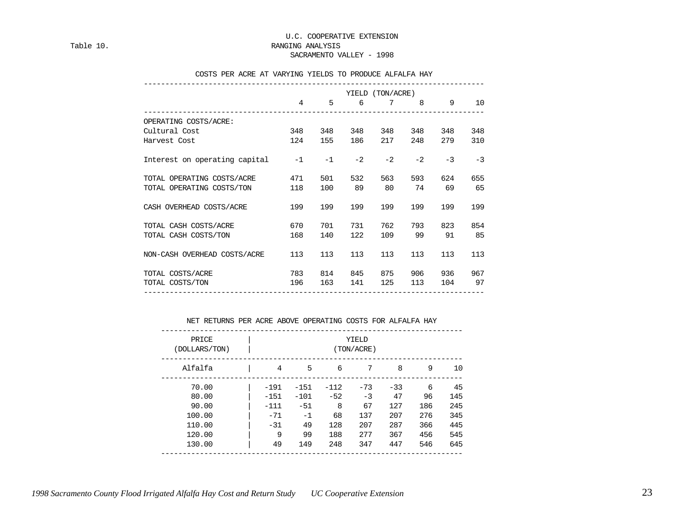Table 10. Table 10.

SACRAMENTO VALLEY - 1998

#### COSTS PER ACRE AT VARYING YIELDS TO PRODUCE ALFALFA HAY

|                               |      |      |      | YIELD (TON/ACRE) |      |      |      |
|-------------------------------|------|------|------|------------------|------|------|------|
|                               | 4    | 5    | 6    | $7\phantom{.0}$  | 8    | 9    | 10   |
| OPERATING COSTS/ACRE:         |      |      |      |                  |      |      |      |
| Cultural Cost                 | 348  | 348  | 348  | 348              | 348  | 348  | 348  |
| Harvest Cost                  | 124  | 155  | 186  | 217              | 248  | 279  | 310  |
| Interest on operating capital | $-1$ | $-1$ | $-2$ | $-2$             | $-2$ | $-3$ | $-3$ |
| TOTAL OPERATING COSTS/ACRE    | 471  | 501  | 532  | 563              | 593  | 624  | 655  |
| TOTAL OPERATING COSTS/TON     | 118  | 100  | 89   | 80               | 74   | 69   | 65   |
| CASH OVERHEAD COSTS/ACRE      | 199  | 199  | 199  | 199              | 199  | 199  | 199  |
| TOTAL CASH COSTS/ACRE         | 670  | 701  | 731  | 762              | 793  | 823  | 854  |
| TOTAL CASH COSTS/TON          | 168  | 140  | 122  | 109              | 99   | 91   | 85   |
| NON-CASH OVERHEAD COSTS/ACRE  | 113  | 113  | 113  | 113              | 113  | 113  | 113  |
| TOTAL COSTS/ACRE              | 783  | 814  | 845  | 875              | 906  | 936  | 967  |
| TOTAL COSTS/TON               | 196  | 163  | 141  | 125              | 113  | 104  | 97   |

#### NET RETURNS PER ACRE ABOVE OPERATING COSTS FOR ALFALFA HAY

| PRICE<br>(DOLLARS/TON) |        |        |        | YIELD<br>(TON/ACRE) |       |     |     |
|------------------------|--------|--------|--------|---------------------|-------|-----|-----|
| Alfalfa                | 4      | 5      | 6      | 7                   | 8     | 9   | 10  |
| 70.00                  | $-191$ | $-151$ | $-112$ | $-73$               | $-33$ | 6   | 45  |
| 80.00                  | $-151$ | $-101$ | $-52$  | $-3$                | 47    | 96  | 145 |
| 90.00                  | $-111$ | $-51$  | 8      | 67                  | 127   | 186 | 245 |
| 100.00                 | $-71$  | $-1$   | 68     | 137                 | 207   | 276 | 345 |
| 110.00                 | $-31$  | 49     | 128    | 207                 | 287   | 366 | 445 |
| 120.00                 | 9      | 99     | 188    | 277                 | 367   | 456 | 545 |
| 130.00                 | 49     | 149    | 248    | 347                 | 447   | 546 | 645 |